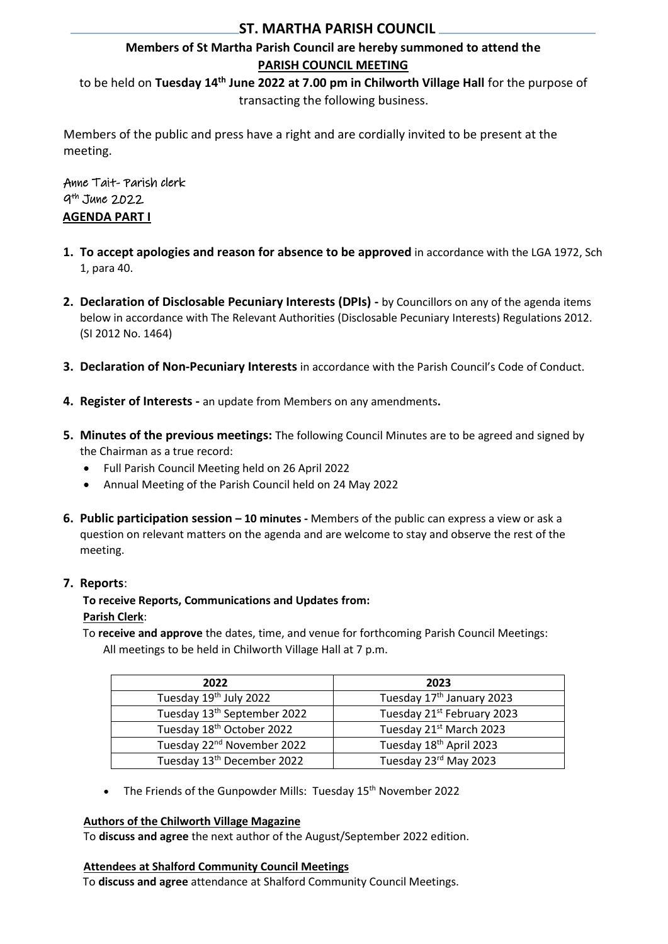# **ST. MARTHA PARISH COUNCIL**

# **Members of St Martha Parish Council are hereby summoned to attend the PARISH COUNCIL MEETING**

to be held on **Tuesday 14th June 2022 at 7.00 pm in Chilworth Village Hall** for the purpose of transacting the following business.

Members of the public and press have a right and are cordially invited to be present at the meeting.

Anne Tait- Parish clerk 9 th June 2022 **AGENDA PART I**

- **1. To accept apologies and reason for absence to be approved** in accordance with the LGA 1972, Sch 1, para 40.
- **2. Declaration of Disclosable Pecuniary Interests (DPIs) -** by Councillors on any of the agenda items below in accordance with The Relevant Authorities (Disclosable Pecuniary Interests) Regulations 2012. (SI 2012 No. 1464)
- **3. Declaration of Non-Pecuniary Interests** in accordance with the Parish Council's Code of Conduct.
- **4. Register of Interests -** an update from Members on any amendments**.**
- **5. Minutes of the previous meetings:** The following Council Minutes are to be agreed and signed by the Chairman as a true record:
	- Full Parish Council Meeting held on 26 April 2022
	- Annual Meeting of the Parish Council held on 24 May 2022
- **6. Public participation session – 10 minutes -** Members of the public can express a view or ask a question on relevant matters on the agenda and are welcome to stay and observe the rest of the meeting.

### **7. Reports**:

### **To receive Reports, Communications and Updates from: Parish Clerk**:

To **receive and approve** the dates, time, and venue for forthcoming Parish Council Meetings: All meetings to be held in Chilworth Village Hall at 7 p.m.

| 2022                                    | 2023                                  |
|-----------------------------------------|---------------------------------------|
| Tuesday 19th July 2022                  | Tuesday 17 <sup>th</sup> January 2023 |
| Tuesday 13 <sup>th</sup> September 2022 | Tuesday 21st February 2023            |
| Tuesday 18th October 2022               | Tuesday 21st March 2023               |
| Tuesday 22 <sup>nd</sup> November 2022  | Tuesday 18th April 2023               |
| Tuesday 13 <sup>th</sup> December 2022  | Tuesday 23rd May 2023                 |

• The Friends of the Gunpowder Mills: Tuesday 15<sup>th</sup> November 2022

#### **Authors of the Chilworth Village Magazine**

To **discuss and agree** the next author of the August/September 2022 edition.

#### **Attendees at Shalford Community Council Meetings**

To **discuss and agree** attendance at Shalford Community Council Meetings.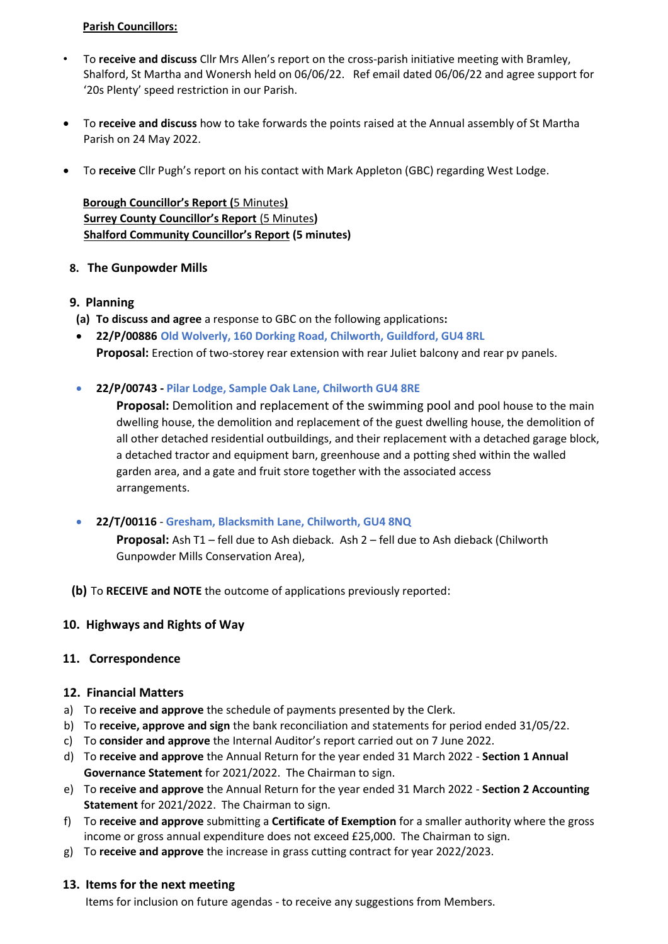#### **Parish Councillors:**

- To **receive and discuss** Cllr Mrs Allen's report on the cross-parish initiative meeting with Bramley, Shalford, St Martha and Wonersh held on 06/06/22. Ref email dated 06/06/22 and agree support for '20s Plenty' speed restriction in our Parish.
- To **receive and discuss** how to take forwards the points raised at the Annual assembly of St Martha Parish on 24 May 2022.
- To **receive** Cllr Pugh's report on his contact with Mark Appleton (GBC) regarding West Lodge.

**Borough Councillor's Report (**5 Minutes**) Surrey County Councillor's Report** (5 Minutes**) Shalford Community Councillor's Report (5 minutes)**

### **8. The Gunpowder Mills**

#### **9. Planning**

- **(a) To discuss and agree** a response to GBC on the following applications**:**
- **22/P/00886 Old Wolverly, 160 Dorking Road, Chilworth, Guildford, GU4 8RL Proposal:** Erection of two-storey rear extension with rear Juliet balcony and rear pv panels.
- **22/P/00743 - Pilar Lodge, Sample Oak Lane, Chilworth GU4 8RE**

**Proposal:** Demolition and replacement of the swimming pool and pool house to the main dwelling house, the demolition and replacement of the guest dwelling house, the demolition of all other detached residential outbuildings, and their replacement with a detached garage block, a detached tractor and equipment barn, greenhouse and a potting shed within the walled garden area, and a gate and fruit store together with the associated access arrangements.

• **22/T/00116** - **Gresham, Blacksmith Lane, Chilworth, GU4 8NQ**

**Proposal:** Ash T1 – fell due to Ash dieback. Ash 2 – fell due to Ash dieback (Chilworth Gunpowder Mills Conservation Area),

**(b)** To **RECEIVE and NOTE** the outcome of applications previously reported:

#### **10. Highways and Rights of Way**

#### **11. Correspondence**

#### **12. Financial Matters**

- a) To **receive and approve** the schedule of payments presented by the Clerk.
- b) To **receive, approve and sign** the bank reconciliation and statements for period ended 31/05/22.
- c) To **consider and approve** the Internal Auditor's report carried out on 7 June 2022.
- d) To **receive and approve** the Annual Return for the year ended 31 March 2022 **Section 1 Annual Governance Statement** for 2021/2022. The Chairman to sign.
- e) To **receive and approve** the Annual Return for the year ended 31 March 2022 **Section 2 Accounting Statement** for 2021/2022. The Chairman to sign.
- f) To **receive and approve** submitting a **Certificate of Exemption** for a smaller authority where the gross income or gross annual expenditure does not exceed £25,000. The Chairman to sign.
- g) To **receive and approve** the increase in grass cutting contract for year 2022/2023.

#### **13. Items for the next meeting**

Items for inclusion on future agendas - to receive any suggestions from Members.